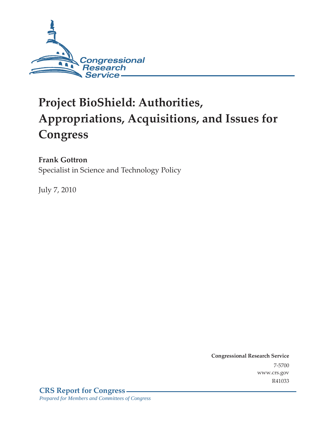

# **Project BioShield: Authorities, Appropriations, Acquisitions, and Issues for Congress**

**Frank Gottron** 

Specialist in Science and Technology Policy

July 7, 2010

**Congressional Research Service** 7-5700 www.crs.gov R41033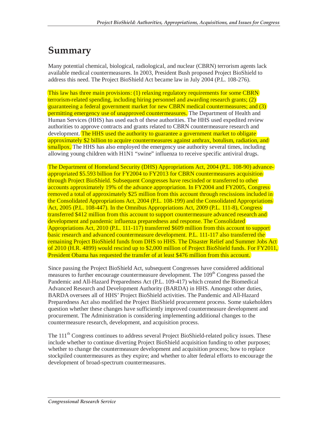## **Summary**

Many potential chemical, biological, radiological, and nuclear (CBRN) terrorism agents lack available medical countermeasures. In 2003, President Bush proposed Project BioShield to address this need. The Project BioShield Act became law in July 2004 (P.L. 108-276).

This law has three main provisions: (1) relaxing regulatory requirements for some CBRN terrorism-related spending, including hiring personnel and awarding research grants; (2) guaranteeing a federal government market for new CBRN medical countermeasures; and (3) permitting emergency use of unapproved countermeasures. The Department of Health and Human Services (HHS) has used each of these authorities. The HHS used expedited review authorities to approve contracts and grants related to CBRN countermeasure research and development. The HHS used the authority to guarantee a government market to obligate approximately \$2 billion to acquire countermeasures against anthrax, botulism, radiation, and smallpox. The HHS has also employed the emergency use authority several times, including allowing young children with H1N1 "swine" influenza to receive specific antiviral drugs.

The Department of Homeland Security (DHS) Appropriations Act, 2004 (P.L. 108-90) advanceappropriated \$5.593 billion for FY2004 to FY2013 for CBRN countermeasures acquisition through Project BioShield. Subsequent Congresses have rescinded or transferred to other accounts approximately 19% of the advance appropriation. In FY2004 and FY2005, Congress removed a total of approximately \$25 million from this account through rescissions included in the Consolidated Appropriations Act, 2004 (P.L. 108-199) and the Consolidated Appropriations Act, 2005 (P.L. 108-447). In the Omnibus Appropriations Act, 2009 (P.L. 111-8), Congress transferred \$412 million from this account to support countermeasure advanced research and development and pandemic influenza preparedness and response. The Consolidated Appropriations Act, 2010 (P.L. 111-117) transferred \$609 million from this account to support basic research and advanced countermeasure development. P.L. 111-117 also transferred the remaining Project BioShield funds from DHS to HHS. The Disaster Relief and Summer Jobs Act of 2010 (H.R. 4899) would rescind up to \$2,000 million of Project BioShield funds. For FY2011, President Obama has requested the transfer of at least \$476 million from this account.

Since passing the Project BioShield Act, subsequent Congresses have considered additional measures to further encourage countermeasure development. The 109<sup>th</sup> Congress passed the Pandemic and All-Hazard Preparedness Act (P.L. 109-417) which created the Biomedical Advanced Research and Development Authority (BARDA) in HHS. Amongst other duties, BARDA oversees all of HHS' Project BioShield activities. The Pandemic and All-Hazard Preparedness Act also modified the Project BioShield procurement process. Some stakeholders question whether these changes have sufficiently improved countermeasure development and procurement. The Administration is considering implementing additional changes to the countermeasure research, development, and acquisition process.

The 111<sup>th</sup> Congress continues to address several Project BioShield-related policy issues. These include whether to continue diverting Project BioShield acquisition funding to other purposes; whether to change the countermeasure development and acquisition process; how to replace stockpiled countermeasures as they expire; and whether to alter federal efforts to encourage the development of broad-spectrum countermeasures.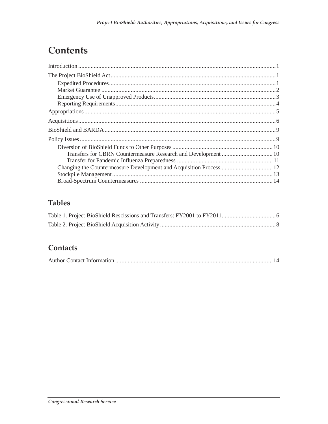### **Contents**

### **Tables**

### Contacts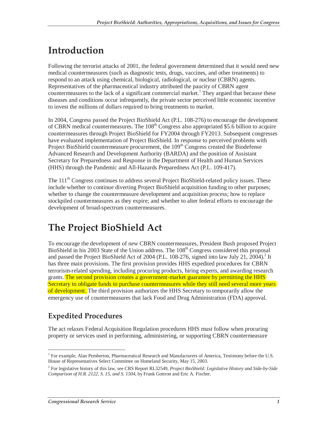## **Introduction**

Following the terrorist attacks of 2001, the federal government determined that it would need new medical countermeasures (such as diagnostic tests, drugs, vaccines, and other treatments) to respond to an attack using chemical, biological, radiological, or nuclear (CBRN) agents. Representatives of the pharmaceutical industry attributed the paucity of CBRN agent countermeasures to the lack of a significant commercial market.<sup>1</sup> They argued that because these diseases and conditions occur infrequently, the private sector perceived little economic incentive to invest the millions of dollars required to bring treatments to market.

In 2004, Congress passed the Project BioShield Act (P.L. 108-276) to encourage the development of CBRN medical countermeasures. The  $108<sup>th</sup>$  Congress also appropriated \$5.6 billion to acquire countermeasures through Project BioShield for FY2004 through FY2013. Subsequent congresses have evaluated implementation of Project BioShield. In response to perceived problems with Project BioShield countermeasure procurement, the 109<sup>th</sup> Congress created the Biodefense Advanced Research and Development Authority (BARDA) and the position of Assistant Secretary for Preparedness and Response in the Department of Health and Human Services (HHS) through the Pandemic and All-Hazards Preparedness Act (P.L. 109-417).

The 111<sup>th</sup> Congress continues to address several Project BioShield-related policy issues. These include whether to continue diverting Project BioShield acquisition funding to other purposes; whether to change the countermeasure development and acquisition process; how to replace stockpiled countermeasures as they expire; and whether to alter federal efforts to encourage the development of broad-spectrum countermeasures.

## **The Project BioShield Act**

To encourage the development of new CBRN countermeasures, President Bush proposed Project BioShield in his 2003 State of the Union address. The 108<sup>th</sup> Congress considered this proposal and passed the Project BioShield Act of 2004 (P.L. 108-276, signed into law July 21,  $2004$ ).<sup>2</sup> It has three main provisions. The first provision provides HHS expedited procedures for CBRN terrorism-related spending, including procuring products, hiring experts, and awarding research grants. The second provision creates a government-market guarantee by permitting the HHS Secretary to obligate funds to purchase countermeasures while they still need several more years of development. The third provision authorizes the HHS Secretary to temporarily allow the emergency use of countermeasures that lack Food and Drug Administration (FDA) approval.

### **Expedited Procedures**

The act relaxes Federal Acquisition Regulation procedures HHS must follow when procuring property or services used in performing, administering, or supporting CBRN countermeasure

<sup>-</sup><sup>1</sup> For example, Alan Pemberton, Pharmaceutical Research and Manufacturers of America, Testimony before the U.S. House of Representatives Select Committee on Homeland Security, May 15, 2003.

<sup>2</sup> For legislative history of this law, see CRS Report RL32549, *Project BioShield: Legislative History and Side-by-Side Comparison of H.R. 2122, S. 15, and S. 1504*, by Frank Gottron and Eric A. Fischer.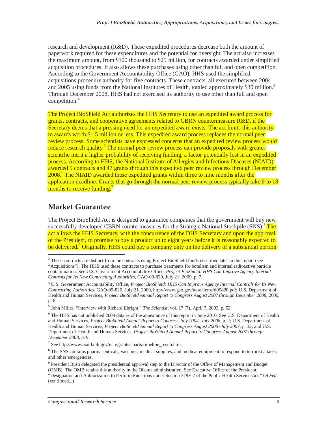research and development (R&D). These expedited procedures decrease both the amount of paperwork required for these expenditures and the potential for oversight. The act also increases the maximum amount, from \$100 thousand to \$25 million, for contracts awarded under simplified acquisition procedures. It also allows these purchases using other than full and open competition. According to the Government Accountability Office (GAO), HHS used the simplified acquisitions procedure authority for five contracts. These contracts, all executed between 2004 and 2005 using funds from the National Institutes of Health, totaled approximately \$30 million.<sup>3</sup> Through December 2008, HHS had not exercised its authority to use other than full and open competition.<sup>4</sup>

The Project BioShield Act authorizes the HHS Secretary to use an expedited award process for grants, contracts, and cooperative agreements related to CBRN countermeasure R&D, if the Secretary deems that a pressing need for an expedited award exists. The act limits this authority to awards worth \$1.5 million or less. This expedited award process replaces the normal peer review process. Some scientists have expressed concerns that an expedited review process would reduce research quality.<sup>5</sup> The normal peer review process can provide proposals with greater scientific merit a higher probability of receiving funding, a factor potentially lost in an expedited process. According to HHS, the National Institute of Allergies and Infectious Diseases (NIAID) awarded 5 contracts and 47 grants through this expedited peer review process through December 2008.<sup>6</sup> The NIAID awarded these expedited grants within three to nine months after the application deadline. Grants that go through the normal peer review process typically take 9 to 18 months to receive funding. $^7$ 

### **Market Guarantee**

The Project BioShield Act is designed to guarantee companies that the government will buy new, successfully developed CBRN countermeasures for the Strategic National Stockpile (SNS).<sup>8</sup>The act allows the HHS Secretary, with the concurrence of the DHS Secretary and upon the approval of the President, to promise to buy a product up to eight years before it is reasonably expected to be delivered.<sup>9</sup> Originally, HHS could pay a company only on the delivery of a substantial portion

<sup>-</sup><sup>3</sup> These contracts are distinct from the contracts using Project BioShield funds described later in this report (see "Acquisitions"). The HHS used these contracts to purchase treatments for botulism and internal radioactive particle contamination. See U.S. Government Accountability Office, *Project BioShield: HHS Can Improve Agency Internal Controls for Its New Contracting Authorities*, GAO-09-820, July 21, 2009, p. 7.

<sup>4</sup> U.S. Government Accountability Office, *Project BioShield: HHS Can Improve Agency Internal Controls for Its New Contracting Authorities*, GAO-09-820, July 21, 2009, http://www.gao.gov/new.items/d09820.pdf; U.S. Department of Health and Human Services, *Project BioShield Annual Report to Congress August 2007 through December 2008*, 2009, p. 8.

<sup>5</sup> John Miller, "Interview with Richard Ebright," *The Scientist*, vol. 17 (7), April 7, 2003, p. 52.

<sup>&</sup>lt;sup>6</sup> The HHS has not published 2009 data as of the appearance of this report in June 2010. See U.S. Department of Health and Human Services, *Project BioShield Annual Report to Congress July 2004 -July 2006*, p. 2; U.S. Department of Health and Human Services, *Project BioShield Annual Report to Congress August 2006 -July 2007*, p. 32; and U.S. Department of Health and Human Services, *Project BioShield Annual Report to Congress August 2007 through December 2008*, p. 9.

<sup>7</sup> See http://www.niaid.nih.gov/ncn/grants/charts/timeline\_resub.htm.

<sup>&</sup>lt;sup>8</sup> The SNS contains pharmaceuticals, vaccines, medical supplies, and medical equipment to respond to terrorist attacks and other emergencies.

<sup>&</sup>lt;sup>9</sup> President Bush delegated the presidential approval step to the Director of the Office of Management and Budget (OMB). The OMB retains this authority in the Obama administration. See Executive Office of the President, "Designation and Authorization to Perform Functions under Section 319F-2 of the Public Health Service Act," 69 *Fed.*  (continued...)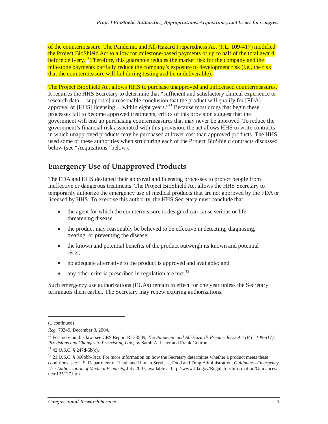of the countermeasure. The Pandemic and All-Hazard Preparedness Act (P.L. 109-417) modified the Project BioShield Act to allow for milestone-based payments of up to half of the total award before delivery.<sup>10</sup> Therefore, this guarantee reduces the market risk for the company and the milestone payments partially reduce the company's exposure to development risk (i.e., the risk) that the countermeasure will fail during testing and be undeliverable).

The Project BioShield Act allows HHS to purchase unapproved and unlicensed countermeasures. It requires the HHS Secretary to determine that "sufficient and satisfactory clinical experience or research data ... support[s] a reasonable conclusion that the product will qualify for [FDA] approval or [HHS] licensing ... within eight years."<sup>11</sup> Because most drugs that begin these processes fail to become approved treatments, critics of this provision suggest that the government will end up purchasing countermeasures that may never be approved. To reduce the government's financial risk associated with this provision, the act allows HHS to write contracts in which unapproved products may be purchased at lower cost than approved products. The HHS used some of these authorities when structuring each of the Project BioShield contracts discussed below (see "Acquisitions" below).

### **Emergency Use of Unapproved Products**

The FDA and HHS designed their approval and licensing processes to protect people from ineffective or dangerous treatments. The Project BioShield Act allows the HHS Secretary to temporarily authorize the emergency use of medical products that are not approved by the FDA or licensed by HHS. To exercise this authority, the HHS Secretary must conclude that:

- the agent for which the countermeasure is designed can cause serious or lifethreatening disease;
- the product may reasonably be believed to be effective in detecting, diagnosing, treating, or preventing the disease;
- the known and potential benefits of the product outweigh its known and potential risks;
- no adequate alternative to the product is approved and available; and
- any other criteria prescribed in regulation are met.<sup>12</sup>

Such emergency use authorizations (EUAs) remain in effect for one year unless the Secretary terminates them earlier. The Secretary may renew expiring authorizations.

<u>.</u>

<sup>(...</sup>continued)

*Reg.* 70349, December 3, 2004.

<sup>10</sup> For more on this law, see CRS Report RL33589, *The Pandemic and All-Hazards Preparedness Act (P.L. 109-417): Provisions and Changes to Preexisting Law*, by Sarah A. Lister and Frank Gottron.

 $11$  42 U.S.C. § 247d-6b(c).

<sup>&</sup>lt;sup>12</sup> 21 U.S.C. § 360bbb-3(c). For more information on how the Secretary determines whether a product meets these conditions, see U.S. Department of Heath and Human Services, Food and Drug Administration, *Guidance—Emergency Use Authorization of Medical Products*, July 2007, available at http://www.fda.gov/RegulatoryInformation/Guidances/ ucm125127.htm.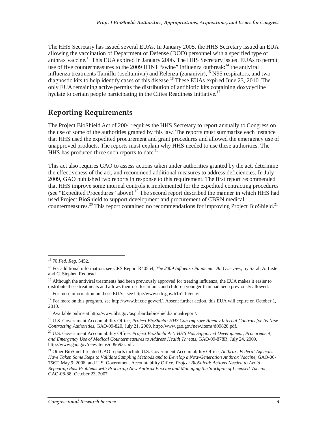The HHS Secretary has issued several EUAs. In January 2005, the HHS Secretary issued an EUA allowing the vaccination of Department of Defense (DOD) personnel with a specified type of anthrax vaccine.<sup>13</sup> This EUA expired in January 2006. The HHS Secretary issued EUAs to permit use of five countermeasures to the 2009 H1N1 "swine" influenza outbreak:<sup>14</sup> the antiviral influenza treatments Tamiflu (oseltamivir) and Relenza (zananivir), <sup>15</sup> N95 respirators, and two diagnostic kits to help identify cases of this disease.<sup>16</sup> These EUAs expired June 23, 2010. The only EUA remaining active permits the distribution of antibiotic kits containing doxycycline hyclate to certain people participating in the Cities Readiness Initiative.<sup>17</sup>

### **Reporting Requirements**

The Project BioShield Act of 2004 requires the HHS Secretary to report annually to Congress on the use of some of the authorities granted by this law. The reports must summarize each instance that HHS used the expedited procurement and grant procedures and allowed the emergency use of unapproved products. The reports must explain why HHS needed to use these authorities. The HHS has produced three such reports to date.<sup>18</sup>

This act also requires GAO to assess actions taken under authorities granted by the act, determine the effectiveness of the act, and recommend additional measures to address deficiencies. In July 2009, GAO published two reports in response to this requirement. The first report recommended that HHS improve some internal controls it implemented for the expedited contracting procedures (see "Expedited Procedures" above).<sup>19</sup> The second report described the manner in which HHS had used Project BioShield to support development and procurement of CBRN medical countermeasures.<sup>20</sup> This report contained no recommendations for improving Project BioShield.<sup>21</sup>

<sup>-</sup>13 70 *Fed. Reg.* 5452.

<sup>14</sup> For additional information, see CRS Report R40554, *The 2009 Influenza Pandemic: An Overview*, by Sarah A. Lister and C. Stephen Redhead.

<sup>&</sup>lt;sup>15</sup> Although the antiviral treatments had been previously approved for treating influenza, the EUA makes it easier to distribute these treatments and allows their use for infants and children younger than had been previously allowed.

<sup>&</sup>lt;sup>16</sup> For more information on these EUAs, see http://www.cdc.gov/h1n1flu/eua/.

<sup>&</sup>lt;sup>17</sup> For more on this program, see http://www.bt.cdc.gov/cri/. Absent further action, this EUA will expire on October 1, 2010.

<sup>18</sup> Available online at http://www.hhs.gov/aspr/barda/bioshield/annualreport/.

<sup>19</sup> U.S. Government Accountability Office, *Project BioShield: HHS Can Improve Agency Internal Controls for Its New Contracting Authorities*, GAO-09-820, July 21, 2009, http://www.gao.gov/new.items/d09820.pdf.

<sup>&</sup>lt;sup>20</sup> U.S. Government Accountability Office, *Project BioShield Act: HHS Has Supported Development, Procurement, and Emergency Use of Medical Countermeasures to Address Health Threats*, GAO-09-878R, July 24, 2009, http://www.gao.gov/new.items/d09693r.pdf.

<sup>21</sup> Other BioShield-related GAO reports include U.S. Government Accountability Office, *Anthrax: Federal Agencies Have Taken Some Steps to Validate Sampling Methods and to Develop a Next-Generation Anthrax Vaccine*, GAO-06- 756T, May 9, 2006; and U.S. Government Accountability Office, *Project BioShield: Actions Needed to Avoid Repeating Past Problems with Procuring New Anthrax Vaccine and Managing the Stockpile of Licensed Vaccine*, GAO-08-88, October 23, 2007.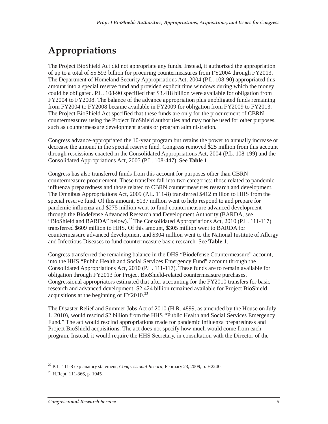# **Appropriations**

The Project BioShield Act did not appropriate any funds. Instead, it authorized the appropriation of up to a total of \$5.593 billion for procuring countermeasures from FY2004 through FY2013. The Department of Homeland Security Appropriations Act, 2004 (P.L. 108-90) appropriated this amount into a special reserve fund and provided explicit time windows during which the money could be obligated. P.L. 108-90 specified that \$3.418 billion were available for obligation from FY2004 to FY2008. The balance of the advance appropriation plus unobligated funds remaining from FY2004 to FY2008 became available in FY2009 for obligation from FY2009 to FY2013. The Project BioShield Act specified that these funds are only for the procurement of CBRN countermeasures using the Project BioShield authorities and may not be used for other purposes, such as countermeasure development grants or program administration.

Congress advance-appropriated the 10-year program but retains the power to annually increase or decrease the amount in the special reserve fund. Congress removed \$25 million from this account through rescissions enacted in the Consolidated Appropriations Act, 2004 (P.L. 108-199) and the Consolidated Appropriations Act, 2005 (P.L. 108-447). See **Table 1**.

Congress has also transferred funds from this account for purposes other than CBRN countermeasure procurement. These transfers fall into two categories: those related to pandemic influenza preparedness and those related to CBRN countermeasures research and development. The Omnibus Appropriations Act, 2009 (P.L. 111-8) transferred \$412 million to HHS from the special reserve fund. Of this amount, \$137 million went to help respond to and prepare for pandemic influenza and \$275 million went to fund countermeasure advanced development through the Biodefense Advanced Research and Development Authority (BARDA, see "BioShield and BARDA" below).<sup>22</sup> The Consolidated Appropriations Act, 2010 (P.L. 111-117) transferred \$609 million to HHS. Of this amount, \$305 million went to BARDA for countermeasure advanced development and \$304 million went to the National Institute of Allergy and Infectious Diseases to fund countermeasure basic research. See **Table 1**.

Congress transferred the remaining balance in the DHS "Biodefense Countermeasure" account, into the HHS "Public Health and Social Services Emergency Fund" account through the Consolidated Appropriations Act, 2010 (P.L. 111-117). These funds are to remain available for obligation through FY2013 for Project BioShield-related countermeasure purchases. Congressional appropriators estimated that after accounting for the FY2010 transfers for basic research and advanced development, \$2.424 billion remained available for Project BioShield acquisitions at the beginning of  $FY2010.<sup>23</sup>$ 

The Disaster Relief and Summer Jobs Act of 2010 (H.R. 4899, as amended by the House on July 1, 2010), would rescind \$2 billion from the HHS "Public Health and Social Services Emergency Fund." The act would rescind appropriations made for pandemic influenza preparedness and Project BioShield acquisitions. The act does not specify how much would come from each program. Instead, it would require the HHS Secretary, in consultation with the Director of the

 $\frac{1}{2}$ 22 P.L. 111-8 explanatory statement, *Congressional Record*, February 23, 2009, p. H2240.

 $23$  H.Rept. 111-366, p. 1045.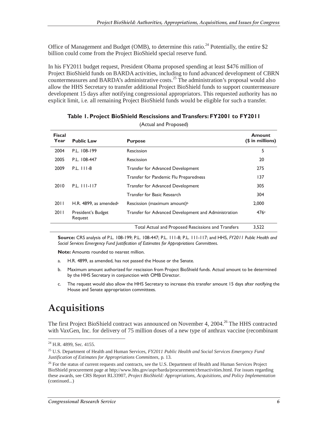Office of Management and Budget (OMB), to determine this ratio.<sup>24</sup> Potentially, the entire \$2 billion could come from the Project BioShield special reserve fund.

In his FY2011 budget request, President Obama proposed spending at least \$476 million of Project BioShield funds on BARDA activities, including to fund advanced development of CBRN countermeasures and BARDA's administrative costs.<sup>25</sup> The administration's proposal would also allow the HHS Secretary to transfer additional Project BioShield funds to support countermeasure development 15 days after notifying congressional appropriators. This requested authority has no explicit limit, i.e. all remaining Project BioShield funds would be eligible for such a transfer.

| <b>Fiscal</b><br>Year | <b>Public Law</b>                     | <b>Purpose</b>                                       | <b>Amount</b><br>(\$ in millions) |
|-----------------------|---------------------------------------|------------------------------------------------------|-----------------------------------|
| 2004                  | P.L. 108-199                          | Rescission                                           | 5                                 |
| 2005                  | P.L. 108-447                          | Rescission                                           | 20                                |
| 2009                  | P.L. 111-8                            | Transfer for Advanced Development                    | 275                               |
|                       |                                       | Transfer for Pandemic Flu Preparedness               | 137                               |
| 2010                  | P.L. 111-117                          | <b>Transfer for Advanced Development</b>             | 305                               |
|                       |                                       | Transfer for Basic Research                          | 304                               |
| 2011                  | H.R. $4899$ , as amended <sup>a</sup> | Rescission (maximum amount) <sup>b</sup>             | 2.000                             |
| 2011                  | President's Budget<br>Request         | Transfer for Advanced Development and Administration | 476c                              |
|                       |                                       | Total Actual and Proposed Rescissions and Transfers  | 3,522                             |

#### **Table 1. Project BioShield Rescissions and Transfers: FY2001 to FY2011**

(Actual and Proposed)

**Source:** CRS analysis of P.L. 108-199; P.L. 108-447; P.L. 111-8; P.L. 111-117; and HHS, *FY2011 Public Health and Social Services Emergency Fund Justification of Estimates for Appropriations Committees*.

**Note:** Amounts rounded to nearest million.

- a. H.R. 4899, as amended, has not passed the House or the Senate.
- b. Maximum amount authorized for rescission from Project BioShield funds. Actual amount to be determined by the HHS Secretary in conjunction with OMB Director.
- c. The request would also allow the HHS Secretary to increase this transfer amount 15 days after notifying the House and Senate appropriation committees.

### **Acquisitions**

The first Project BioShield contract was announced on November 4, 2004.<sup>26</sup> The HHS contracted with VaxGen, Inc. for delivery of 75 million doses of a new type of anthrax vaccine (recombinant

-

 $^{24}$  H.R. 4899, Sec. 4155.

<sup>25</sup> U.S. Department of Health and Human Services, *FY2011 Public Health and Social Services Emergency Fund Justification of Estimates for Appropriations Committees*, p. 13.

<sup>&</sup>lt;sup>26</sup> For the status of current requests and contracts, see the U.S. Department of Health and Human Services Project BioShield procurement page at http://www.hhs.gov/aspr/barda/procurement/cbrnactivities.html. For issues regarding these awards, see CRS Report RL33907, *Project BioShield: Appropriations, Acquisitions, and Policy Implementation*  (continued...)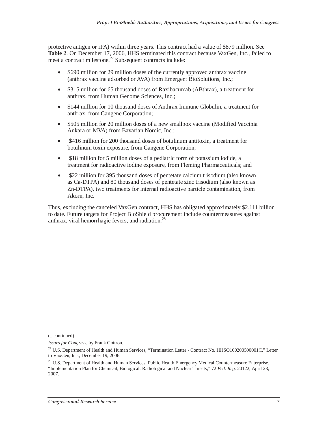protective antigen or rPA) within three years. This contract had a value of \$879 million. See **Table 2**. On December 17, 2006, HHS terminated this contract because VaxGen, Inc., failed to meet a contract milestone. $^{27}$  Subsequent contracts include:

- \$690 million for 29 million doses of the currently approved anthrax vaccine (anthrax vaccine adsorbed or AVA) from Emergent BioSolutions, Inc.;
- \$315 million for 65 thousand doses of Raxibacumab (ABthrax), a treatment for anthrax, from Human Genome Sciences, Inc.;
- \$144 million for 10 thousand doses of Anthrax Immune Globulin, a treatment for anthrax, from Cangene Corporation;
- \$505 million for 20 million doses of a new smallpox vaccine (Modified Vaccinia Ankara or MVA) from Bavarian Nordic, Inc.;
- \$416 million for 200 thousand doses of botulinum antitoxin, a treatment for botulinum toxin exposure, from Cangene Corporation;
- \$18 million for 5 million doses of a pediatric form of potassium iodide, a treatment for radioactive iodine exposure, from Fleming Pharmaceuticals; and
- \$22 million for 395 thousand doses of pentetate calcium trisodium (also known as Ca-DTPA) and 80 thousand doses of pentetate zinc trisodium (also known as Zn-DTPA), two treatments for internal radioactive particle contamination, from Akorn, Inc.

Thus, excluding the canceled VaxGen contract, HHS has obligated approximately \$2.111 billion to date. Future targets for Project BioShield procurement include countermeasures against anthrax, viral hemorrhagic fevers, and radiation.<sup>28</sup>

-

<sup>(...</sup>continued)

*Issues for Congress*, by Frank Gottron.

<sup>&</sup>lt;sup>27</sup> U.S. Department of Health and Human Services, "Termination Letter - Contract No. HHSO100200500001C," Letter to VaxGen, Inc., December 19, 2006.

<sup>&</sup>lt;sup>28</sup> U.S. Department of Health and Human Services, Public Health Emergency Medical Countermeasure Enterprise, "Implementation Plan for Chemical, Biological, Radiological and Nuclear Threats," 72 *Fed. Reg.* 20122, April 23, 2007.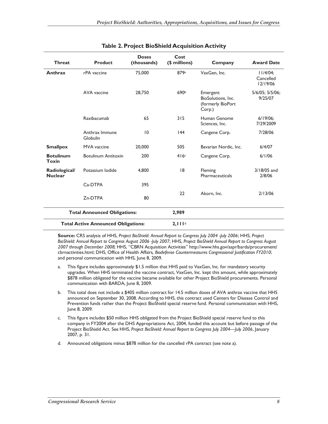| <b>Threat</b>                              | <b>Product</b>             | <b>Doses</b><br>(thousands) | Cost<br>(\$ millions) | Company                                                       | <b>Award Date</b>                    |
|--------------------------------------------|----------------------------|-----------------------------|-----------------------|---------------------------------------------------------------|--------------------------------------|
| Anthrax                                    | rPA vaccine                | 75,000                      | 879a                  | VaxGen, Inc.                                                  | $11/4/04$ ;<br>Cancelled<br>12/19/06 |
|                                            | AVA vaccine                | 28,750                      | 690b                  | Emergent<br>BioSolutions, Inc.<br>(formerly BioPort<br>Corp.) | 5/6/05; 5/5/06;<br>9/25/07           |
|                                            | Raxibacumab                | 65                          | 315                   | Human Genome<br>Sciences, Inc.                                | $6/19/06$ ;<br>7/29/2009             |
|                                            | Anthrax Immune<br>Globulin | 10                          | 44                    | Cangene Corp.                                                 | 7/28/06                              |
| <b>Smallpox</b>                            | <b>MVA</b> vaccine         | 20,000                      | 505                   | Bavarian Nordic, Inc.                                         | 6/4/07                               |
| <b>Botulinum</b><br>Toxin                  | <b>Botulinum Antitoxin</b> | 200                         | 416c                  | Cangene Corp.                                                 | 6/1/06                               |
| Radiological/<br><b>Nuclear</b>            | Potassium Iodide           | 4.800                       | 18                    | Fleming<br>Pharmaceuticals                                    | 3/18/05 and<br>2/8/06                |
|                                            | C <sub>a</sub> -DTPA       | 395                         |                       |                                                               |                                      |
|                                            | Zn-DTPA                    | 80                          | 22                    | Akorn, Inc.                                                   | 2/13/06                              |
| <b>Total Announced Obligations:</b>        |                            |                             | 2,989                 |                                                               |                                      |
| <b>Total Active Announced Obligations:</b> |                            |                             | 2,111 <sup>d</sup>    |                                                               |                                      |

#### **Table 2. Project BioShield Acquisition Activity**

**Source:** CRS analysis of HHS, *Project BioShield: Annual Report to Congress July 2004 -July 2006*; HHS, *Project BioShield: Annual Report to Congress August 2006 -July 2007*; HHS, *Project BioShield Annual Report to Congress August 2007 through December 2008;* HHS, "CBRN Acquisition Activities" http://www.hhs.gov/aspr/barda/procurement/ cbrnactivities.html; DHS, Office of Health Affairs*, Biodefense Countermeasures Congressional Justification FY2010*; and personal communication with HHS, June 8, 2009.

- a. This figure includes approximately \$1.5 million that HHS paid to VaxGen, Inc. for mandatory security upgrades. When HHS terminated the vaccine contract, VaxGen, Inc. kept this amount, while approximately \$878 million obligated for the vaccine became available for other Project BioShield procurements. Personal communication with BARDA, June 8, 2009.
- b. This total does not include a \$405 million contract for 14.5 million doses of AVA anthrax vaccine that HHS announced on September 30, 2008. According to HHS, this contract used Centers for Disease Control and Prevention funds rather than the Project BioShield special reserve fund. Personal communication with HHS, June 8, 2009.
- c. This figure includes \$50 million HHS obligated from the Project BioShield special reserve fund to this company in FY2004 after the DHS Appropriations Act, 2004, funded this account but before passage of the Project BioShield Act. See HHS, *Project BioShield: Annual Report to Congress July 2004—July 2006*, January 2007, p. 31.
- d. Announced obligations minus \$878 million for the cancelled rPA contract (see note a).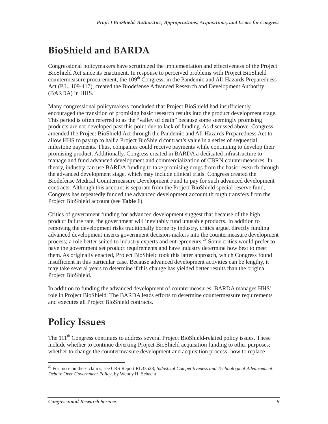# **BioShield and BARDA**

Congressional policymakers have scrutinized the implementation and effectiveness of the Project BioShield Act since its enactment. In response to perceived problems with Project BioShield countermeasure procurement, the 109<sup>th</sup> Congress, in the Pandemic and All-Hazards Preparedness Act (P.L. 109-417), created the Biodefense Advanced Research and Development Authority (BARDA) in HHS.

Many congressional policymakers concluded that Project BioShield had insufficiently encouraged the transition of promising basic research results into the product development stage. This period is often referred to as the "valley of death" because some seemingly promising products are not developed past this point due to lack of funding. As discussed above, Congress amended the Project BioShield Act through the Pandemic and All-Hazards Preparedness Act to allow HHS to pay up to half a Project BioShield contract's value in a series of sequential milestone payments. Thus, companies could receive payments while continuing to develop their promising product. Additionally, Congress created in BARDA a dedicated infrastructure to manage and fund advanced development and commercialization of CBRN countermeasures. In theory, industry can use BARDA funding to take promising drugs from the basic research through the advanced development stage, which may include clinical trials. Congress created the Biodefense Medical Countermeasure Development Fund to pay for such advanced development contracts. Although this account is separate from the Project BioShield special reserve fund, Congress has repeatedly funded the advanced development account through transfers from the Project BioShield account (see **Table 1**).

Critics of government funding for advanced development suggest that because of the high product failure rate, the government will inevitably fund unusable products. In addition to removing the development risks traditionally borne by industry, critics argue, directly funding advanced development inserts government decision-makers into the countermeasure development process; a role better suited to industry experts and entrepreneurs.<sup>29</sup> Some critics would prefer to have the government set product requirements and have industry determine how best to meet them. As originally enacted, Project BioShield took this latter approach, which Congress found insufficient in this particular case. Because advanced development activities can be lengthy, it may take several years to determine if this change has yielded better results than the original Project BioShield.

In addition to funding the advanced development of countermeasures, BARDA manages HHS' role in Project BioShield. The BARDA leads efforts to determine countermeasure requirements and executes all Project BioShield contracts.

# **Policy Issues**

The 111<sup>th</sup> Congress continues to address several Project BioShield-related policy issues. These include whether to continue diverting Project BioShield acquisition funding to other purposes; whether to change the countermeasure development and acquisition process; how to replace

<sup>-</sup>29 For more on these claims, see CRS Report RL33528, *Industrial Competitiveness and Technological Advancement: Debate Over Government Policy*, by Wendy H. Schacht.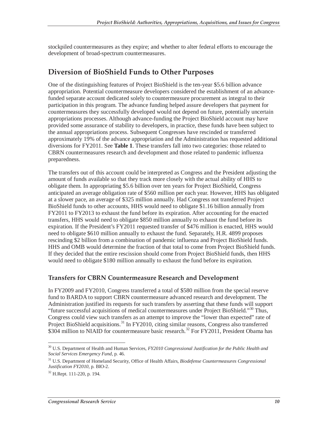stockpiled countermeasures as they expire; and whether to alter federal efforts to encourage the development of broad-spectrum countermeasures.

#### **Diversion of BioShield Funds to Other Purposes**

One of the distinguishing features of Project BioShield is the ten-year \$5.6 billion advance appropriation. Potential countermeasure developers considered the establishment of an advancefunded separate account dedicated solely to countermeasure procurement as integral to their participation in this program. The advance funding helped assure developers that payment for countermeasures they successfully developed would not depend on future, potentially uncertain appropriations processes. Although advance-funding the Project BioShield account may have provided some assurance of stability to developers, in practice, these funds have been subject to the annual appropriations process. Subsequent Congresses have rescinded or transferred approximately 19% of the advance appropriation and the Administration has requested additional diversions for FY2011. See **Table 1**. These transfers fall into two categories: those related to CBRN countermeasures research and development and those related to pandemic influenza preparedness.

The transfers out of this account could be interpreted as Congress and the President adjusting the amount of funds available so that they track more closely with the actual ability of HHS to obligate them. In appropriating \$5.6 billion over ten years for Project BioShield, Congress anticipated an average obligation rate of \$560 million per each year. However, HHS has obligated at a slower pace, an average of \$325 million annually. Had Congress not transferred Project BioShield funds to other accounts, HHS would need to obligate \$1.16 billion annually from FY2011 to FY2013 to exhaust the fund before its expiration. After accounting for the enacted transfers, HHS would need to obligate \$850 million annually to exhaust the fund before its expiration. If the President's FY2011 requested transfer of \$476 million is enacted, HHS would need to obligate \$610 million annually to exhaust the fund. Separately, H.R. 4899 proposes rescinding \$2 billion from a combination of pandemic influenza and Project BioShield funds. HHS and OMB would determine the fraction of that total to come from Project BioShield funds. If they decided that the entire rescission should come from Project BioShield funds, then HHS would need to obligate \$180 million annually to exhaust the fund before its expiration.

#### **Transfers for CBRN Countermeasure Research and Development**

In FY2009 and FY2010, Congress transferred a total of \$580 million from the special reserve fund to BARDA to support CBRN countermeasure advanced research and development. The Administration justified its requests for such transfers by asserting that these funds will support "future successful acquisitions of medical countermeasures under Project BioShield."30 Thus, Congress could view such transfers as an attempt to improve the "lower than expected" rate of Project BioShield acquisitions.<sup>31</sup> In FY2010, citing similar reasons, Congress also transferred  $$304$  million to NIAID for countermeasure basic research.<sup>32</sup> For FY2011, President Obama has

<sup>-</sup><sup>30</sup> U.S. Department of Health and Human Services, *FY2010 Congressional Justification for the Public Health and Social Services Emergency Fund*, p. 46.

<sup>31</sup> U.S. Department of Homeland Security, Office of Health Affairs, *Biodefense Countermeasures Congressional Justification FY2010*, p. BIO-2.

 $32$  H.Rept. 111-220, p. 194.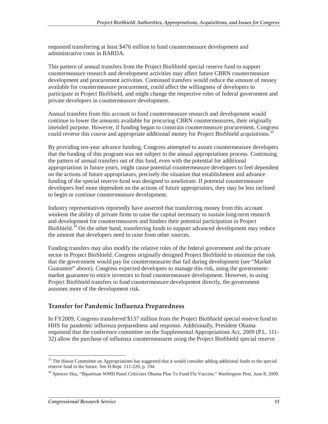requested transferring at least \$476 million to fund countermeasure development and administrative costs in BARDA.

This pattern of annual transfers from the Project BioShield special reserve fund to support countermeasure research and development activities may affect future CBRN countermeasure development and procurement activities. Continued transfers would reduce the amount of money available for countermeasure procurement, could affect the willingness of developers to participate in Project BioShield, and might change the respective roles of federal government and private developers in countermeasure development.

Annual transfers from this account to fund countermeasure research and development would continue to lower the amounts available for procuring CBRN countermeasures, their originally intended purpose. However, if funding began to constrain countermeasure procurement, Congress could reverse this course and appropriate additional money for Project BioShield acquisitions.<sup>33</sup>

By providing ten-year advance funding, Congress attempted to assure countermeasure developers that the funding of this program was not subject to the annual appropriations process. Continuing the pattern of annual transfers out of this fund, even with the potential for additional appropriations in future years, might cause potential countermeasure developers to feel dependent on the actions of future appropriators, precisely the situation that establishment and advance funding of the special reserve fund was designed to ameliorate. If potential countermeasure developers feel more dependent on the actions of future appropriators, they may be less inclined to begin or continue countermeasure development.

Industry representatives reportedly have asserted that transferring money from this account weakens the ability of private firms to raise the capital necessary to sustain long-term research and development for countermeasures and hinders their potential participation in Project BioShield.<sup>34</sup> On the other hand, transferring funds to support advanced development may reduce the amount that developers need to raise from other sources.

Funding transfers may also modify the relative roles of the federal government and the private sector in Project BioShield. Congress originally designed Project BioShield to minimize the risk that the government would pay for countermeasures that fail during development (see "Market Guarantee" above). Congress expected developers to manage this risk, using the governmentmarket guarantee to entice investors to fund countermeasure development. However, in using Project BioShield transfers to fund countermeasure development directly, the government assumes more of the development risk.

#### **Transfer for Pandemic Influenza Preparedness**

In FY2009, Congress transferred \$137 million from the Project BioShield special reserve fund to HHS for pandemic influenza preparedness and response. Additionally, President Obama requested that the conference committee on the Supplemental Appropriations Act, 2009 (P.L. 111- 32) allow the purchase of influenza countermeasures using the Project BioShield special reserve

<sup>-</sup><sup>33</sup> The House Committee on Appropriations has suggested that it would consider adding additional funds to the special reserve fund in the future. See H.Rept. 111-220, p. 194.

<sup>34</sup> Spencer Hsu, "Bipartisan WMD Panel Criticizes Obama Plan To Fund Flu Vaccine," *Washington Post*, June 8, 2009.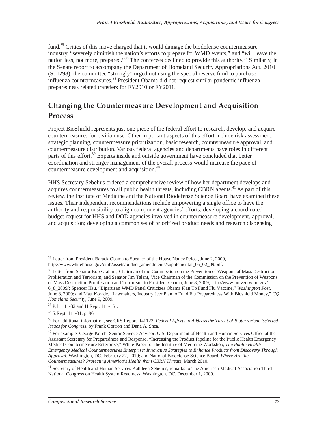fund.<sup>35</sup> Critics of this move charged that it would damage the biodefense countermeasure industry, "severely diminish the nation's efforts to prepare for WMD events," and "will leave the nation less, not more, prepared."<sup>36</sup> The conferees declined to provide this authority.<sup>37</sup> Similarly, in the Senate report to accompany the Department of Homeland Security Appropriations Act, 2010 (S. 1298), the committee "strongly" urged not using the special reserve fund to purchase influenza countermeasures.38 President Obama did not request similar pandemic influenza preparedness related transfers for FY2010 or FY2011.

### **Changing the Countermeasure Development and Acquisition Process**

Project BioShield represents just one piece of the federal effort to research, develop, and acquire countermeasures for civilian use. Other important aspects of this effort include risk assessment, strategic planning, countermeasure prioritization, basic research, countermeasure approval, and countermeasure distribution. Various federal agencies and departments have roles in different parts of this effort.<sup>39</sup> Experts inside and outside government have concluded that better coordination and stronger management of the overall process would increase the pace of countermeasure development and acquisition.<sup>40</sup>

HHS Secretary Sebelius ordered a comprehensive review of how her department develops and acquires countermeasures to all public health threats, including CBRN agents.<sup>41</sup> As part of this review, the Institute of Medicine and the National Biodefense Science Board have examined these issues. Their independent recommendations include empowering a single office to have the authority and responsibility to align component agencies' efforts; developing a coordinated budget request for HHS and DOD agencies involved in countermeasure development, approval, and acquisition; developing a common set of prioritized product needs and research dispensing

<sup>-</sup><sup>35</sup> Letter from President Barack Obama to Speaker of the House Nancy Pelosi, June 2, 2009, http://www.whitehouse.gov/omb/assets/budget\_amendments/supplemental\_06\_02\_09.pdf.

<sup>&</sup>lt;sup>36</sup> Letter from Senator Bob Graham, Chairman of the Commission on the Prevention of Weapons of Mass Destruction Proliferation and Terrorism, and Senator Jim Talent, Vice Chairman of the Commission on the Prevention of Weapons of Mass Destruction Proliferation and Terrorism, to President Obama, June 8, 2009, http://www.preventwmd.gov/ 6\_8\_2009/; Spencer Hsu, "Bipartisan WMD Panel Criticizes Obama Plan To Fund Flu Vaccine," *Washington Post*, June 8, 2009; and Matt Korade, "Lawmakers, Industry Jeer Plan to Fund Flu Preparedness With Bioshield Money," *CQ Homeland Security, June 9, 2009.* <sup>37</sup> P.L. 111-32 and H.Rept. 111-151.

 $38$  S.Rept. 111-31, p. 96.

<sup>39</sup> For additional information, see CRS Report R41123, *Federal Efforts to Address the Threat of Bioterrorism: Selected Issues for Congress*, by Frank Gottron and Dana A. Shea.

<sup>&</sup>lt;sup>40</sup> For example, George Korch, Senior Science Advisor, U.S. Department of Health and Human Services Office of the Assistant Secretary for Preparedness and Response, "Increasing the Product Pipeline for the Public Health Emergency Medical Countermeasure Enterprise," White Paper for the Institute of Medicine Workshop, *The Public Health Emergency Medical Countermeasures Enterprise: Innovative Strategies to Enhance Products from Discovery Through Approval*, Washington, DC, February 22, 2010; and National Biodefense Science Board, *Where Are the Countermeasures? Protecting America's Health from CBRN Threats*, March 2010.

<sup>&</sup>lt;sup>41</sup> Secretary of Health and Human Services Kathleen Sebelius, remarks to The American Medical Association Third National Congress on Health System Readiness, Washington, DC, December 1, 2009.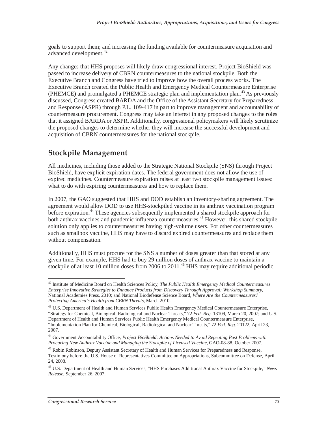goals to support them; and increasing the funding available for countermeasure acquisition and advanced development.<sup>42</sup>

Any changes that HHS proposes will likely draw congressional interest. Project BioShield was passed to increase delivery of CBRN countermeasures to the national stockpile. Both the Executive Branch and Congress have tried to improve how the overall process works. The Executive Branch created the Public Health and Emergency Medical Countermeasure Enterprise (PHEMCE) and promulgated a PHEMCE strategic plan and implementation plan.<sup>43</sup> As previously discussed, Congress created BARDA and the Office of the Assistant Secretary for Preparedness and Response (ASPR) through P.L. 109-417 in part to improve management and accountability of countermeasure procurement. Congress may take an interest in any proposed changes to the roles that it assigned BARDA or ASPR. Additionally, congressional policymakers will likely scrutinize the proposed changes to determine whether they will increase the successful development and acquisition of CBRN countermeasures for the national stockpile.

### **Stockpile Management**

All medicines, including those added to the Strategic National Stockpile (SNS) through Project BioShield, have explicit expiration dates. The federal government does not allow the use of expired medicines. Countermeasure expiration raises at least two stockpile management issues: what to do with expiring countermeasures and how to replace them.

In 2007, the GAO suggested that HHS and DOD establish an inventory-sharing agreement. The agreement would allow DOD to use HHS-stockpiled vaccine in its anthrax vaccination program before expiration.<sup>44</sup> These agencies subsequently implemented a shared stockpile approach for both anthrax vaccines and pandemic influenza countermeasures.<sup>45</sup> However, this shared stockpile solution only applies to countermeasures having high-volume users. For other countermeasures such as smallpox vaccine, HHS may have to discard expired countermeasures and replace them without compensation.

Additionally, HHS must procure for the SNS a number of doses greater than that stored at any given time. For example, HHS had to buy 29 million doses of anthrax vaccine to maintain a stockpile of at least 10 million doses from 2006 to 2011.<sup>46</sup> HHS may require additional periodic

<sup>-</sup>42 Institute of Medicine Board on Health Sciences Policy, *The Public Health Emergency Medical Countermeasures Enterprise Innovative Strategies to Enhance Products from Discovery Through Approval: Workshop Summary*, National Academies Press, 2010; and National Biodefense Science Board, *Where Are the Countermeasures? Protecting America's Health from CBRN Threats*, March 2010.

<sup>&</sup>lt;sup>43</sup> U.S. Department of Health and Human Services Public Health Emergency Medical Countermeasure Enterprise, "Strategy for Chemical, Biological, Radiological and Nuclear Threats," 72 *Fed. Reg.* 13109, March 20, 2007; and U.S. Department of Health and Human Services Public Health Emergency Medical Countermeasure Enterprise, "Implementation Plan for Chemical, Biological, Radiological and Nuclear Threats," 72 *Fed. Reg.* 20122, April 23, 2007.

<sup>44</sup> Government Accountability Office, *Project BioShield: Actions Needed to Avoid Repeating Past Problems with Procuring New Anthrax Vaccine and Managing the Stockpile of Licensed Vaccine,* GAO-08-88, October 2007.

<sup>&</sup>lt;sup>45</sup> Robin Robinson, Deputy Assistant Secretary of Health and Human Services for Preparedness and Response, Testimony before the U.S. House of Representatives Committee on Appropriations, Subcommittee on Defense, April 24, 2008.

<sup>46</sup> U.S. Department of Health and Human Services, "HHS Purchases Additional Anthrax Vaccine for Stockpile," *News Release*, September 26, 2007.